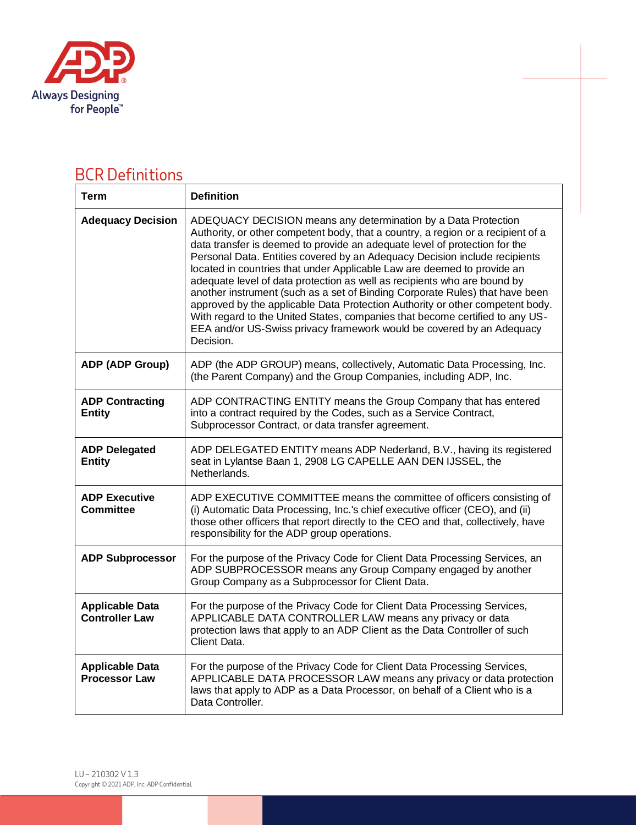

## BCR Definitions

| <b>Term</b>                                     | <b>Definition</b>                                                                                                                                                                                                                                                                                                                                                                                                                                                                                                                                                                                                                                                                                                                                                                                            |
|-------------------------------------------------|--------------------------------------------------------------------------------------------------------------------------------------------------------------------------------------------------------------------------------------------------------------------------------------------------------------------------------------------------------------------------------------------------------------------------------------------------------------------------------------------------------------------------------------------------------------------------------------------------------------------------------------------------------------------------------------------------------------------------------------------------------------------------------------------------------------|
| <b>Adequacy Decision</b>                        | ADEQUACY DECISION means any determination by a Data Protection<br>Authority, or other competent body, that a country, a region or a recipient of a<br>data transfer is deemed to provide an adequate level of protection for the<br>Personal Data. Entities covered by an Adequacy Decision include recipients<br>located in countries that under Applicable Law are deemed to provide an<br>adequate level of data protection as well as recipients who are bound by<br>another instrument (such as a set of Binding Corporate Rules) that have been<br>approved by the applicable Data Protection Authority or other competent body.<br>With regard to the United States, companies that become certified to any US-<br>EEA and/or US-Swiss privacy framework would be covered by an Adequacy<br>Decision. |
| ADP (ADP Group)                                 | ADP (the ADP GROUP) means, collectively, Automatic Data Processing, Inc.<br>(the Parent Company) and the Group Companies, including ADP, Inc.                                                                                                                                                                                                                                                                                                                                                                                                                                                                                                                                                                                                                                                                |
| <b>ADP Contracting</b><br><b>Entity</b>         | ADP CONTRACTING ENTITY means the Group Company that has entered<br>into a contract required by the Codes, such as a Service Contract,<br>Subprocessor Contract, or data transfer agreement.                                                                                                                                                                                                                                                                                                                                                                                                                                                                                                                                                                                                                  |
| <b>ADP Delegated</b><br><b>Entity</b>           | ADP DELEGATED ENTITY means ADP Nederland, B.V., having its registered<br>seat in Lylantse Baan 1, 2908 LG CAPELLE AAN DEN IJSSEL, the<br>Netherlands.                                                                                                                                                                                                                                                                                                                                                                                                                                                                                                                                                                                                                                                        |
| <b>ADP Executive</b><br><b>Committee</b>        | ADP EXECUTIVE COMMITTEE means the committee of officers consisting of<br>(i) Automatic Data Processing, Inc.'s chief executive officer (CEO), and (ii)<br>those other officers that report directly to the CEO and that, collectively, have<br>responsibility for the ADP group operations.                                                                                                                                                                                                                                                                                                                                                                                                                                                                                                                  |
| <b>ADP Subprocessor</b>                         | For the purpose of the Privacy Code for Client Data Processing Services, an<br>ADP SUBPROCESSOR means any Group Company engaged by another<br>Group Company as a Subprocessor for Client Data.                                                                                                                                                                                                                                                                                                                                                                                                                                                                                                                                                                                                               |
| <b>Applicable Data</b><br><b>Controller Law</b> | For the purpose of the Privacy Code for Client Data Processing Services,<br>APPLICABLE DATA CONTROLLER LAW means any privacy or data<br>protection laws that apply to an ADP Client as the Data Controller of such<br>Client Data.                                                                                                                                                                                                                                                                                                                                                                                                                                                                                                                                                                           |
| <b>Applicable Data</b><br><b>Processor Law</b>  | For the purpose of the Privacy Code for Client Data Processing Services,<br>APPLICABLE DATA PROCESSOR LAW means any privacy or data protection<br>laws that apply to ADP as a Data Processor, on behalf of a Client who is a<br>Data Controller.                                                                                                                                                                                                                                                                                                                                                                                                                                                                                                                                                             |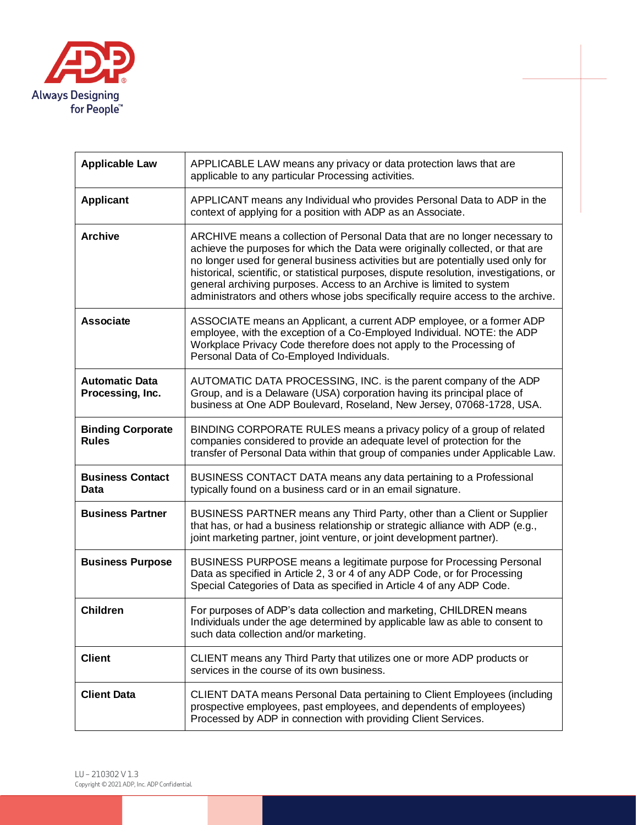

| <b>Applicable Law</b>                     | APPLICABLE LAW means any privacy or data protection laws that are<br>applicable to any particular Processing activities.                                                                                                                                                                                                                                                                                                                                                                                  |
|-------------------------------------------|-----------------------------------------------------------------------------------------------------------------------------------------------------------------------------------------------------------------------------------------------------------------------------------------------------------------------------------------------------------------------------------------------------------------------------------------------------------------------------------------------------------|
| <b>Applicant</b>                          | APPLICANT means any Individual who provides Personal Data to ADP in the<br>context of applying for a position with ADP as an Associate.                                                                                                                                                                                                                                                                                                                                                                   |
| <b>Archive</b>                            | ARCHIVE means a collection of Personal Data that are no longer necessary to<br>achieve the purposes for which the Data were originally collected, or that are<br>no longer used for general business activities but are potentially used only for<br>historical, scientific, or statistical purposes, dispute resolution, investigations, or<br>general archiving purposes. Access to an Archive is limited to system<br>administrators and others whose jobs specifically require access to the archive. |
| <b>Associate</b>                          | ASSOCIATE means an Applicant, a current ADP employee, or a former ADP<br>employee, with the exception of a Co-Employed Individual. NOTE: the ADP<br>Workplace Privacy Code therefore does not apply to the Processing of<br>Personal Data of Co-Employed Individuals.                                                                                                                                                                                                                                     |
| <b>Automatic Data</b><br>Processing, Inc. | AUTOMATIC DATA PROCESSING, INC. is the parent company of the ADP<br>Group, and is a Delaware (USA) corporation having its principal place of<br>business at One ADP Boulevard, Roseland, New Jersey, 07068-1728, USA.                                                                                                                                                                                                                                                                                     |
| <b>Binding Corporate</b><br><b>Rules</b>  | BINDING CORPORATE RULES means a privacy policy of a group of related<br>companies considered to provide an adequate level of protection for the<br>transfer of Personal Data within that group of companies under Applicable Law.                                                                                                                                                                                                                                                                         |
| <b>Business Contact</b><br>Data           | BUSINESS CONTACT DATA means any data pertaining to a Professional<br>typically found on a business card or in an email signature.                                                                                                                                                                                                                                                                                                                                                                         |
| <b>Business Partner</b>                   | BUSINESS PARTNER means any Third Party, other than a Client or Supplier<br>that has, or had a business relationship or strategic alliance with ADP (e.g.,<br>joint marketing partner, joint venture, or joint development partner).                                                                                                                                                                                                                                                                       |
| <b>Business Purpose</b>                   | BUSINESS PURPOSE means a legitimate purpose for Processing Personal<br>Data as specified in Article 2, 3 or 4 of any ADP Code, or for Processing<br>Special Categories of Data as specified in Article 4 of any ADP Code.                                                                                                                                                                                                                                                                                 |
| <b>Children</b>                           | For purposes of ADP's data collection and marketing, CHILDREN means<br>Individuals under the age determined by applicable law as able to consent to<br>such data collection and/or marketing.                                                                                                                                                                                                                                                                                                             |
| <b>Client</b>                             | CLIENT means any Third Party that utilizes one or more ADP products or<br>services in the course of its own business.                                                                                                                                                                                                                                                                                                                                                                                     |
| <b>Client Data</b>                        | CLIENT DATA means Personal Data pertaining to Client Employees (including<br>prospective employees, past employees, and dependents of employees)<br>Processed by ADP in connection with providing Client Services.                                                                                                                                                                                                                                                                                        |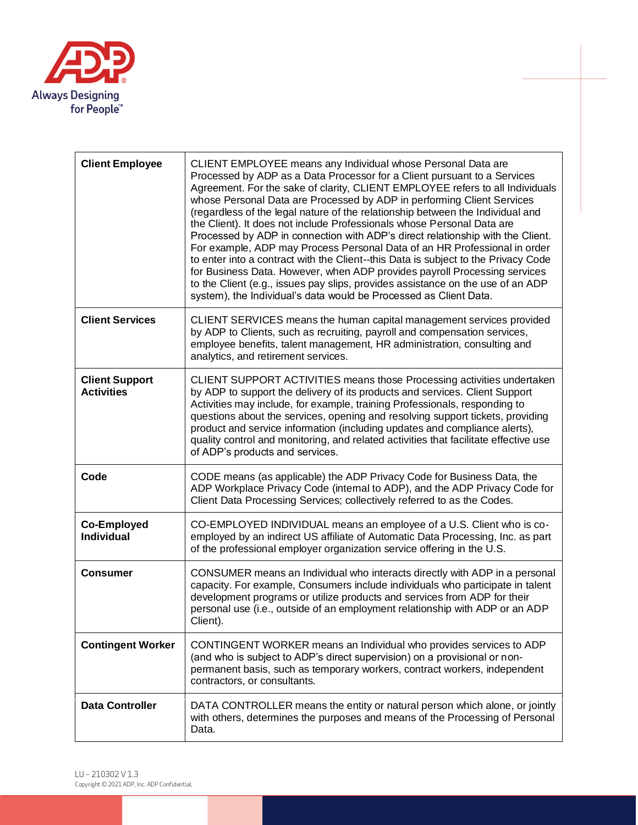

| <b>Client Employee</b>                     | CLIENT EMPLOYEE means any Individual whose Personal Data are<br>Processed by ADP as a Data Processor for a Client pursuant to a Services<br>Agreement. For the sake of clarity, CLIENT EMPLOYEE refers to all Individuals<br>whose Personal Data are Processed by ADP in performing Client Services<br>(regardless of the legal nature of the relationship between the Individual and<br>the Client). It does not include Professionals whose Personal Data are<br>Processed by ADP in connection with ADP's direct relationship with the Client.<br>For example, ADP may Process Personal Data of an HR Professional in order<br>to enter into a contract with the Client--this Data is subject to the Privacy Code<br>for Business Data. However, when ADP provides payroll Processing services<br>to the Client (e.g., issues pay slips, provides assistance on the use of an ADP<br>system), the Individual's data would be Processed as Client Data. |
|--------------------------------------------|-----------------------------------------------------------------------------------------------------------------------------------------------------------------------------------------------------------------------------------------------------------------------------------------------------------------------------------------------------------------------------------------------------------------------------------------------------------------------------------------------------------------------------------------------------------------------------------------------------------------------------------------------------------------------------------------------------------------------------------------------------------------------------------------------------------------------------------------------------------------------------------------------------------------------------------------------------------|
| <b>Client Services</b>                     | CLIENT SERVICES means the human capital management services provided<br>by ADP to Clients, such as recruiting, payroll and compensation services,<br>employee benefits, talent management, HR administration, consulting and<br>analytics, and retirement services.                                                                                                                                                                                                                                                                                                                                                                                                                                                                                                                                                                                                                                                                                       |
| <b>Client Support</b><br><b>Activities</b> | CLIENT SUPPORT ACTIVITIES means those Processing activities undertaken<br>by ADP to support the delivery of its products and services. Client Support<br>Activities may include, for example, training Professionals, responding to<br>questions about the services, opening and resolving support tickets, providing<br>product and service information (including updates and compliance alerts),<br>quality control and monitoring, and related activities that facilitate effective use<br>of ADP's products and services.                                                                                                                                                                                                                                                                                                                                                                                                                            |
| Code                                       | CODE means (as applicable) the ADP Privacy Code for Business Data, the<br>ADP Workplace Privacy Code (internal to ADP), and the ADP Privacy Code for<br>Client Data Processing Services; collectively referred to as the Codes.                                                                                                                                                                                                                                                                                                                                                                                                                                                                                                                                                                                                                                                                                                                           |
| <b>Co-Employed</b><br>Individual           | CO-EMPLOYED INDIVIDUAL means an employee of a U.S. Client who is co-<br>employed by an indirect US affiliate of Automatic Data Processing, Inc. as part<br>of the professional employer organization service offering in the U.S.                                                                                                                                                                                                                                                                                                                                                                                                                                                                                                                                                                                                                                                                                                                         |
| <b>Consumer</b>                            | CONSUMER means an Individual who interacts directly with ADP in a personal<br>capacity. For example, Consumers include individuals who participate in talent<br>development programs or utilize products and services from ADP for their<br>personal use (i.e., outside of an employment relationship with ADP or an ADP<br>Client).                                                                                                                                                                                                                                                                                                                                                                                                                                                                                                                                                                                                                      |
| <b>Contingent Worker</b>                   | CONTINGENT WORKER means an Individual who provides services to ADP<br>(and who is subject to ADP's direct supervision) on a provisional or non-<br>permanent basis, such as temporary workers, contract workers, independent<br>contractors, or consultants.                                                                                                                                                                                                                                                                                                                                                                                                                                                                                                                                                                                                                                                                                              |
| <b>Data Controller</b>                     | DATA CONTROLLER means the entity or natural person which alone, or jointly<br>with others, determines the purposes and means of the Processing of Personal<br>Data.                                                                                                                                                                                                                                                                                                                                                                                                                                                                                                                                                                                                                                                                                                                                                                                       |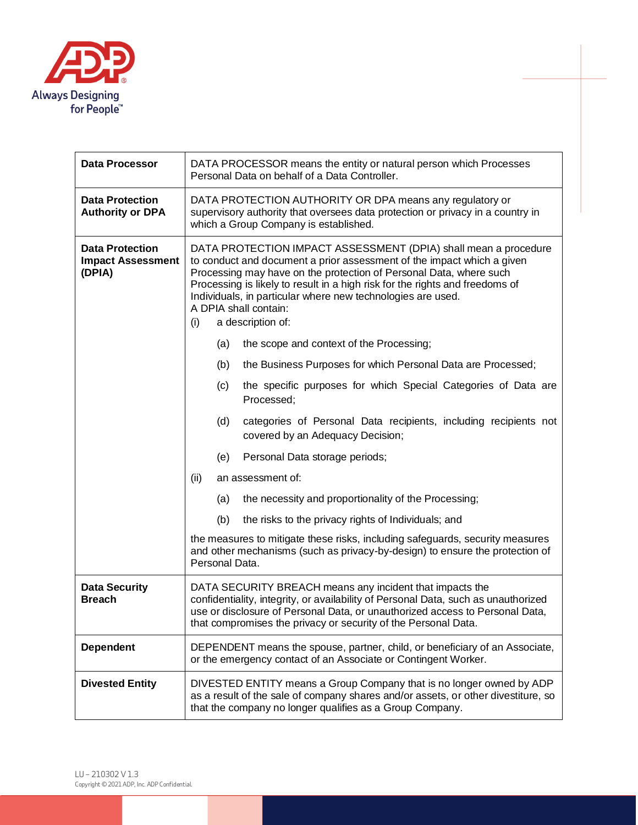

| <b>Data Processor</b>                                        |                                                                                                                                                                                                                                                                                                                                                                                                                     |                | DATA PROCESSOR means the entity or natural person which Processes<br>Personal Data on behalf of a Data Controller.                                                                                                                                                                               |
|--------------------------------------------------------------|---------------------------------------------------------------------------------------------------------------------------------------------------------------------------------------------------------------------------------------------------------------------------------------------------------------------------------------------------------------------------------------------------------------------|----------------|--------------------------------------------------------------------------------------------------------------------------------------------------------------------------------------------------------------------------------------------------------------------------------------------------|
| <b>Data Protection</b><br><b>Authority or DPA</b>            | DATA PROTECTION AUTHORITY OR DPA means any regulatory or<br>supervisory authority that oversees data protection or privacy in a country in<br>which a Group Company is established.                                                                                                                                                                                                                                 |                |                                                                                                                                                                                                                                                                                                  |
| <b>Data Protection</b><br><b>Impact Assessment</b><br>(DPIA) | DATA PROTECTION IMPACT ASSESSMENT (DPIA) shall mean a procedure<br>to conduct and document a prior assessment of the impact which a given<br>Processing may have on the protection of Personal Data, where such<br>Processing is likely to result in a high risk for the rights and freedoms of<br>Individuals, in particular where new technologies are used.<br>A DPIA shall contain:<br>(i)<br>a description of: |                |                                                                                                                                                                                                                                                                                                  |
|                                                              |                                                                                                                                                                                                                                                                                                                                                                                                                     | (a)            | the scope and context of the Processing;                                                                                                                                                                                                                                                         |
|                                                              |                                                                                                                                                                                                                                                                                                                                                                                                                     | (b)            | the Business Purposes for which Personal Data are Processed;                                                                                                                                                                                                                                     |
|                                                              |                                                                                                                                                                                                                                                                                                                                                                                                                     | (c)            | the specific purposes for which Special Categories of Data are<br>Processed;                                                                                                                                                                                                                     |
|                                                              |                                                                                                                                                                                                                                                                                                                                                                                                                     | (d)            | categories of Personal Data recipients, including recipients not<br>covered by an Adequacy Decision;                                                                                                                                                                                             |
|                                                              |                                                                                                                                                                                                                                                                                                                                                                                                                     | (e)            | Personal Data storage periods;                                                                                                                                                                                                                                                                   |
|                                                              | (ii)                                                                                                                                                                                                                                                                                                                                                                                                                |                | an assessment of:                                                                                                                                                                                                                                                                                |
|                                                              |                                                                                                                                                                                                                                                                                                                                                                                                                     | (a)            | the necessity and proportionality of the Processing;                                                                                                                                                                                                                                             |
|                                                              |                                                                                                                                                                                                                                                                                                                                                                                                                     | (b)            | the risks to the privacy rights of Individuals; and                                                                                                                                                                                                                                              |
|                                                              |                                                                                                                                                                                                                                                                                                                                                                                                                     | Personal Data. | the measures to mitigate these risks, including safeguards, security measures<br>and other mechanisms (such as privacy-by-design) to ensure the protection of                                                                                                                                    |
| <b>Data Security</b><br><b>Breach</b>                        |                                                                                                                                                                                                                                                                                                                                                                                                                     |                | DATA SECURITY BREACH means any incident that impacts the<br>confidentiality, integrity, or availability of Personal Data, such as unauthorized<br>use or disclosure of Personal Data, or unauthorized access to Personal Data,<br>that compromises the privacy or security of the Personal Data. |
| <b>Dependent</b>                                             |                                                                                                                                                                                                                                                                                                                                                                                                                     |                | DEPENDENT means the spouse, partner, child, or beneficiary of an Associate,<br>or the emergency contact of an Associate or Contingent Worker.                                                                                                                                                    |
| <b>Divested Entity</b>                                       |                                                                                                                                                                                                                                                                                                                                                                                                                     |                | DIVESTED ENTITY means a Group Company that is no longer owned by ADP<br>as a result of the sale of company shares and/or assets, or other divestiture, so<br>that the company no longer qualifies as a Group Company.                                                                            |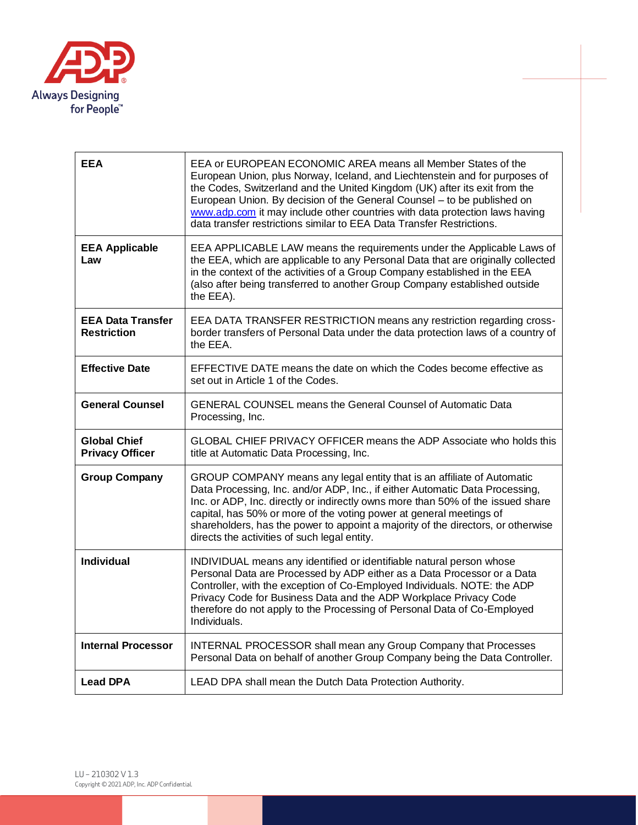

| <b>EEA</b>                                     | EEA or EUROPEAN ECONOMIC AREA means all Member States of the<br>European Union, plus Norway, Iceland, and Liechtenstein and for purposes of<br>the Codes, Switzerland and the United Kingdom (UK) after its exit from the<br>European Union. By decision of the General Counsel - to be published on<br>www.adp.com it may include other countries with data protection laws having<br>data transfer restrictions similar to EEA Data Transfer Restrictions. |
|------------------------------------------------|--------------------------------------------------------------------------------------------------------------------------------------------------------------------------------------------------------------------------------------------------------------------------------------------------------------------------------------------------------------------------------------------------------------------------------------------------------------|
| <b>EEA Applicable</b><br>Law                   | EEA APPLICABLE LAW means the requirements under the Applicable Laws of<br>the EEA, which are applicable to any Personal Data that are originally collected<br>in the context of the activities of a Group Company established in the EEA<br>(also after being transferred to another Group Company established outside<br>the EEA).                                                                                                                          |
| <b>EEA Data Transfer</b><br><b>Restriction</b> | EEA DATA TRANSFER RESTRICTION means any restriction regarding cross-<br>border transfers of Personal Data under the data protection laws of a country of<br>the EEA.                                                                                                                                                                                                                                                                                         |
| <b>Effective Date</b>                          | EFFECTIVE DATE means the date on which the Codes become effective as<br>set out in Article 1 of the Codes.                                                                                                                                                                                                                                                                                                                                                   |
| <b>General Counsel</b>                         | <b>GENERAL COUNSEL means the General Counsel of Automatic Data</b><br>Processing, Inc.                                                                                                                                                                                                                                                                                                                                                                       |
| <b>Global Chief</b><br><b>Privacy Officer</b>  | GLOBAL CHIEF PRIVACY OFFICER means the ADP Associate who holds this<br>title at Automatic Data Processing, Inc.                                                                                                                                                                                                                                                                                                                                              |
| <b>Group Company</b>                           | GROUP COMPANY means any legal entity that is an affiliate of Automatic<br>Data Processing, Inc. and/or ADP, Inc., if either Automatic Data Processing,<br>Inc. or ADP, Inc. directly or indirectly owns more than 50% of the issued share<br>capital, has 50% or more of the voting power at general meetings of<br>shareholders, has the power to appoint a majority of the directors, or otherwise<br>directs the activities of such legal entity.         |
| <b>Individual</b>                              | INDIVIDUAL means any identified or identifiable natural person whose<br>Personal Data are Processed by ADP either as a Data Processor or a Data<br>Controller, with the exception of Co-Employed Individuals. NOTE: the ADP<br>Privacy Code for Business Data and the ADP Workplace Privacy Code<br>therefore do not apply to the Processing of Personal Data of Co-Employed<br>Individuals.                                                                 |
| <b>Internal Processor</b>                      | <b>INTERNAL PROCESSOR shall mean any Group Company that Processes</b><br>Personal Data on behalf of another Group Company being the Data Controller.                                                                                                                                                                                                                                                                                                         |
| <b>Lead DPA</b>                                | LEAD DPA shall mean the Dutch Data Protection Authority.                                                                                                                                                                                                                                                                                                                                                                                                     |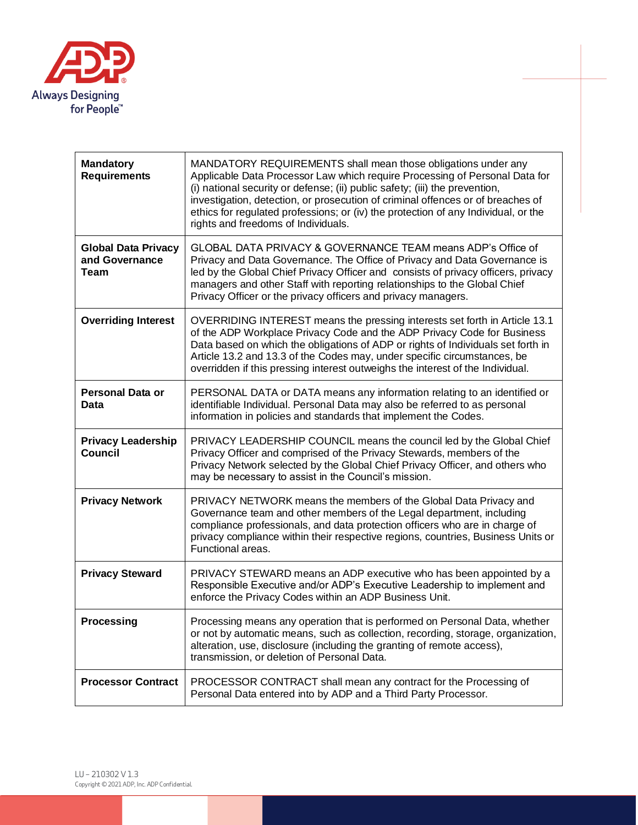

| <b>Mandatory</b><br><b>Requirements</b>              | MANDATORY REQUIREMENTS shall mean those obligations under any<br>Applicable Data Processor Law which require Processing of Personal Data for<br>(i) national security or defense; (ii) public safety; (iii) the prevention,<br>investigation, detection, or prosecution of criminal offences or of breaches of<br>ethics for regulated professions; or (iv) the protection of any Individual, or the<br>rights and freedoms of Individuals. |
|------------------------------------------------------|---------------------------------------------------------------------------------------------------------------------------------------------------------------------------------------------------------------------------------------------------------------------------------------------------------------------------------------------------------------------------------------------------------------------------------------------|
| <b>Global Data Privacy</b><br>and Governance<br>Team | GLOBAL DATA PRIVACY & GOVERNANCE TEAM means ADP's Office of<br>Privacy and Data Governance. The Office of Privacy and Data Governance is<br>led by the Global Chief Privacy Officer and consists of privacy officers, privacy<br>managers and other Staff with reporting relationships to the Global Chief<br>Privacy Officer or the privacy officers and privacy managers.                                                                 |
| <b>Overriding Interest</b>                           | OVERRIDING INTEREST means the pressing interests set forth in Article 13.1<br>of the ADP Workplace Privacy Code and the ADP Privacy Code for Business<br>Data based on which the obligations of ADP or rights of Individuals set forth in<br>Article 13.2 and 13.3 of the Codes may, under specific circumstances, be<br>overridden if this pressing interest outweighs the interest of the Individual.                                     |
| <b>Personal Data or</b><br>Data                      | PERSONAL DATA or DATA means any information relating to an identified or<br>identifiable Individual. Personal Data may also be referred to as personal<br>information in policies and standards that implement the Codes.                                                                                                                                                                                                                   |
| <b>Privacy Leadership</b><br><b>Council</b>          | PRIVACY LEADERSHIP COUNCIL means the council led by the Global Chief<br>Privacy Officer and comprised of the Privacy Stewards, members of the<br>Privacy Network selected by the Global Chief Privacy Officer, and others who<br>may be necessary to assist in the Council's mission.                                                                                                                                                       |
| <b>Privacy Network</b>                               | PRIVACY NETWORK means the members of the Global Data Privacy and<br>Governance team and other members of the Legal department, including<br>compliance professionals, and data protection officers who are in charge of<br>privacy compliance within their respective regions, countries, Business Units or<br>Functional areas.                                                                                                            |
| <b>Privacy Steward</b>                               | PRIVACY STEWARD means an ADP executive who has been appointed by a<br>Responsible Executive and/or ADP's Executive Leadership to implement and<br>enforce the Privacy Codes within an ADP Business Unit.                                                                                                                                                                                                                                    |
| <b>Processing</b>                                    | Processing means any operation that is performed on Personal Data, whether<br>or not by automatic means, such as collection, recording, storage, organization,<br>alteration, use, disclosure (including the granting of remote access),<br>transmission, or deletion of Personal Data.                                                                                                                                                     |
| <b>Processor Contract</b>                            | PROCESSOR CONTRACT shall mean any contract for the Processing of<br>Personal Data entered into by ADP and a Third Party Processor.                                                                                                                                                                                                                                                                                                          |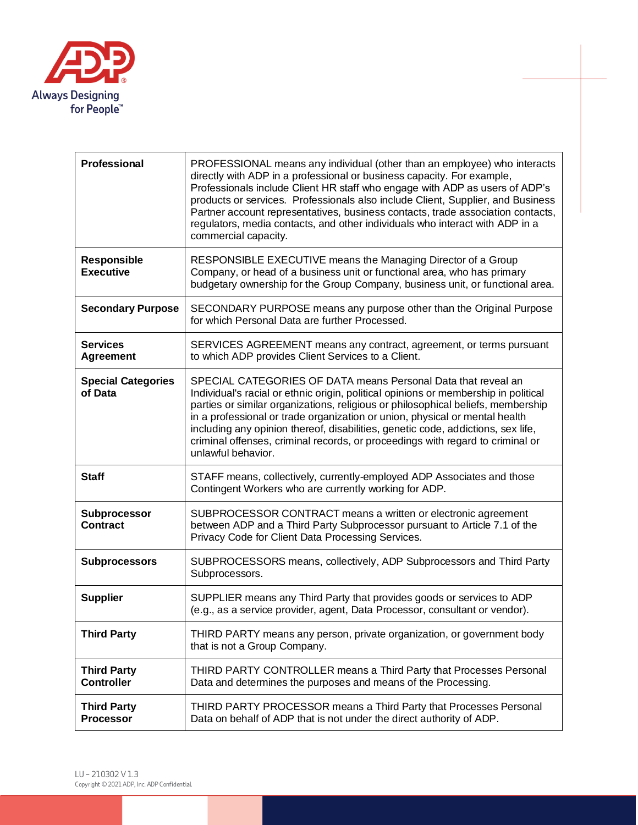

| Professional                            | PROFESSIONAL means any individual (other than an employee) who interacts<br>directly with ADP in a professional or business capacity. For example,<br>Professionals include Client HR staff who engage with ADP as users of ADP's<br>products or services. Professionals also include Client, Supplier, and Business<br>Partner account representatives, business contacts, trade association contacts,<br>regulators, media contacts, and other individuals who interact with ADP in a<br>commercial capacity.     |
|-----------------------------------------|---------------------------------------------------------------------------------------------------------------------------------------------------------------------------------------------------------------------------------------------------------------------------------------------------------------------------------------------------------------------------------------------------------------------------------------------------------------------------------------------------------------------|
| <b>Responsible</b><br><b>Executive</b>  | RESPONSIBLE EXECUTIVE means the Managing Director of a Group<br>Company, or head of a business unit or functional area, who has primary<br>budgetary ownership for the Group Company, business unit, or functional area.                                                                                                                                                                                                                                                                                            |
| <b>Secondary Purpose</b>                | SECONDARY PURPOSE means any purpose other than the Original Purpose<br>for which Personal Data are further Processed.                                                                                                                                                                                                                                                                                                                                                                                               |
| <b>Services</b><br><b>Agreement</b>     | SERVICES AGREEMENT means any contract, agreement, or terms pursuant<br>to which ADP provides Client Services to a Client.                                                                                                                                                                                                                                                                                                                                                                                           |
| <b>Special Categories</b><br>of Data    | SPECIAL CATEGORIES OF DATA means Personal Data that reveal an<br>Individual's racial or ethnic origin, political opinions or membership in political<br>parties or similar organizations, religious or philosophical beliefs, membership<br>in a professional or trade organization or union, physical or mental health<br>including any opinion thereof, disabilities, genetic code, addictions, sex life,<br>criminal offenses, criminal records, or proceedings with regard to criminal or<br>unlawful behavior. |
| <b>Staff</b>                            | STAFF means, collectively, currently-employed ADP Associates and those<br>Contingent Workers who are currently working for ADP.                                                                                                                                                                                                                                                                                                                                                                                     |
| Subprocessor<br><b>Contract</b>         | SUBPROCESSOR CONTRACT means a written or electronic agreement<br>between ADP and a Third Party Subprocessor pursuant to Article 7.1 of the<br>Privacy Code for Client Data Processing Services.                                                                                                                                                                                                                                                                                                                     |
| <b>Subprocessors</b>                    | SUBPROCESSORS means, collectively, ADP Subprocessors and Third Party<br>Subprocessors.                                                                                                                                                                                                                                                                                                                                                                                                                              |
| <b>Supplier</b>                         | SUPPLIER means any Third Party that provides goods or services to ADP<br>(e.g., as a service provider, agent, Data Processor, consultant or vendor).                                                                                                                                                                                                                                                                                                                                                                |
| <b>Third Party</b>                      | THIRD PARTY means any person, private organization, or government body<br>that is not a Group Company.                                                                                                                                                                                                                                                                                                                                                                                                              |
| <b>Third Party</b><br><b>Controller</b> | THIRD PARTY CONTROLLER means a Third Party that Processes Personal<br>Data and determines the purposes and means of the Processing.                                                                                                                                                                                                                                                                                                                                                                                 |
| <b>Third Party</b><br><b>Processor</b>  | THIRD PARTY PROCESSOR means a Third Party that Processes Personal<br>Data on behalf of ADP that is not under the direct authority of ADP.                                                                                                                                                                                                                                                                                                                                                                           |